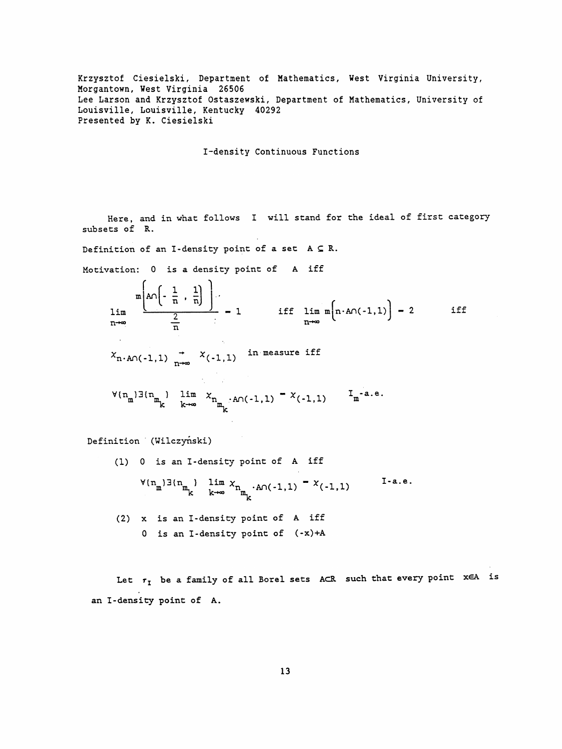Krzysztof Ciesielski, Department of Mathematics, West Virginia University, Morgantown, West Virginia 26506 Lee Larson and Krzysztof Ostaszewski, Department of Mathematics, University of Louisville, Louisville, Kentucky 40292 Presented by K. Ciesielski

I-density Continuous Functions

Here, and in what follows I will stand for the ideal of first category subsets of R.

Definition of an I-density point of a set  $A \subseteq R$ .

 $\mathbf{A}$ 

Motivation: 0 is a density point of A iff

$$
\lim_{n\to\infty} \frac{m\left(A\cap\left(-\frac{1}{n},\frac{1}{n}\right)\right)}{\frac{2}{n}} - 1 \quad \text{iff} \quad \lim_{n\to\infty} m\left(n\cdot A\cap(-1,1)\right) - 2 \quad \text{iff}
$$
\n
$$
X_{n\cdot A\cap(-1,1)} \underset{n\to\infty}{\to} X_{(-1,1)} \quad \text{in measure iff}
$$
\n
$$
V(n_m)\exists (n_m) \lim_{k \to \infty} X_{n_m} \cdot A\cap(-1,1) = X_{(-1,1)} \quad I_m\text{-a.e.}
$$

Definition (Wilczyński)

(1) 0 is an I-density point of A iff  $I-a.e.$  $\forall (n_m) \exists (n_m) \quad \lim_{k \to \infty} x_{n_m} \cdot A \cap (-1,1) = x(-1,1)$ (2) x is an I-density point of A iff 0 is an I-density point of  $(-x)+A$ 

Let  $r_I$  be a family of all Borel sets ACR such that every point  $x \in A$  is an I-density point of A.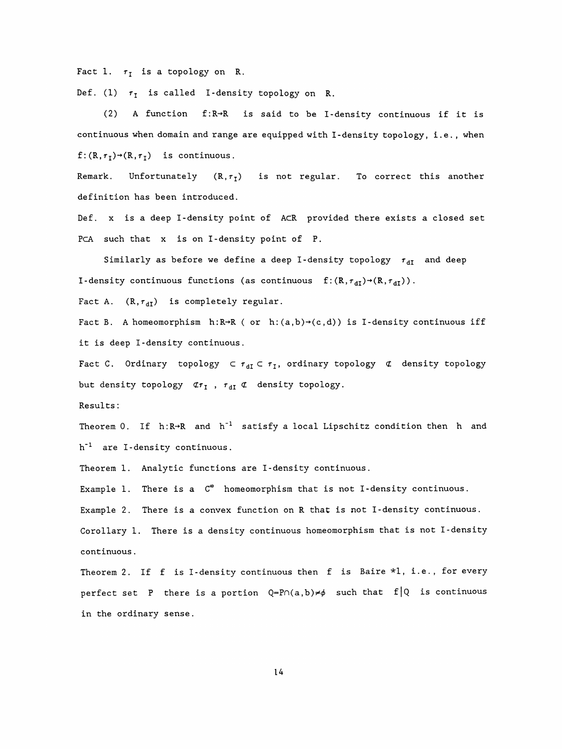Fact 1.  $r_I$  is a topology on R.

Def. (1)  $\tau_{\text{t}}$  is called I-density topology on R.

 (2) A function f:R-\*R is said to be I-density continuous if it is continuous when domain and range are equipped with I-density topology, i.e. , when  $f: (R, r_I) \rightarrow (R, r_I)$  is continuous.

Remark. Unfortunately  $(R, \tau_1)$  is not regular. To correct this another definition has been introduced.

 Def. X is a deep I-density point of AcR provided there exists a closed set PcA such that x is on I-density point of P.

Similarly as before we define a deep I-density topology  $r_{dI}$  and deep I-density continuous functions (as continuous  $f: (R, \tau_{dI}) \rightarrow (R, \tau_{dI}) )$ .

Fact A.  $(R, r_{dI})$  is completely regular.

Fact B. A homeomorphism  $h:R\rightarrow R$  ( or  $h:(a,b)\rightarrow(c,d)$ ) is I-density continuous iff it is deep I-density continuous.

Fact C. Ordinary topology  $\subset \tau_{dI} \subset \tau_I$ , ordinary topology  $\sigma$  density topology but density topology  $\sigma_{r}$ ,  $\sigma_{dI} \subset \sigma$  density topology.

Results :

Theorem 0. If  $h:R\rightarrow R$  and  $h^{-1}$  satisfy a local Lipschitz condition then h and  $h^{-1}$  are I-density continuous.

Theorem 1. Analytic functions are I-density continuous.

Example 1. There is a  $C^{\infty}$  homeomorphism that is not I-density continuous. Example 2. There is a convex function on R that is not I-density continuous. Corollary 1. There is a density continuous homeomorphism that is not I-density continuous .

Theorem 2. If f is I-density continuous then f is Baire  $*1$ , i.e., for every perfect set P there is a portion  $Q = P \cap (a, b) \neq \emptyset$  such that  $f | Q$  is continuous in the ordinary sense.

14